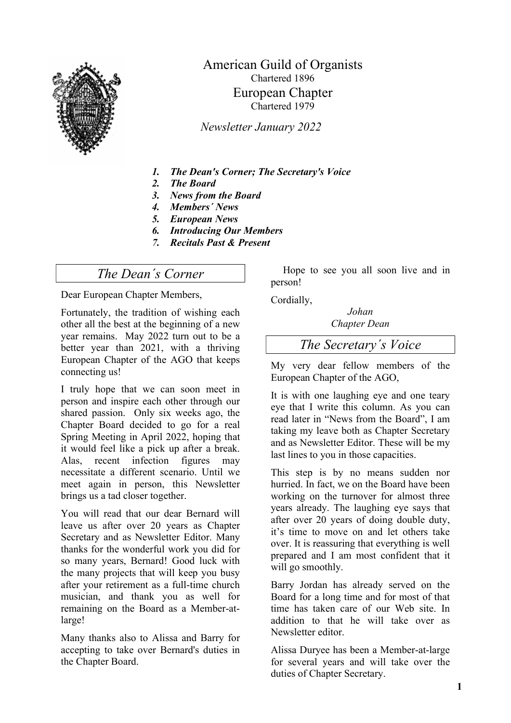

## American Guild of Organists Chartered 1896 European Chapter Chartered 1979

Newsletter January 2022

- 1. The Dean's Corner; The Secretary's Voice
- 2. The Board
- 3. News from the Board
- 4. Members´ News
- 5. European News
- 6. Introducing Our Members
- 7. Recitals Past & Present

## The Dean´s Corner

Dear European Chapter Members,

Fortunately, the tradition of wishing each other all the best at the beginning of a new year remains. May 2022 turn out to be a better year than 2021, with a thriving European Chapter of the AGO that keeps connecting us!

I truly hope that we can soon meet in person and inspire each other through our shared passion. Only six weeks ago, the Chapter Board decided to go for a real Spring Meeting in April 2022, hoping that it would feel like a pick up after a break. Alas, recent infection figures may necessitate a different scenario. Until we meet again in person, this Newsletter brings us a tad closer together.

You will read that our dear Bernard will leave us after over 20 years as Chapter Secretary and as Newsletter Editor. Many thanks for the wonderful work you did for so many years, Bernard! Good luck with the many projects that will keep you busy after your retirement as a full-time church musician, and thank you as well for remaining on the Board as a Member-atlarge!

Many thanks also to Alissa and Barry for accepting to take over Bernard's duties in the Chapter Board.

Hope to see you all soon live and in person!

Cordially,

Johan Chapter Dean

The Secretary´s Voice

My very dear fellow members of the European Chapter of the AGO,

It is with one laughing eye and one teary eye that I write this column. As you can read later in "News from the Board", I am taking my leave both as Chapter Secretary and as Newsletter Editor. These will be my last lines to you in those capacities.

This step is by no means sudden nor hurried. In fact, we on the Board have been working on the turnover for almost three years already. The laughing eye says that after over 20 years of doing double duty, it's time to move on and let others take over. It is reassuring that everything is well prepared and I am most confident that it will go smoothly.

Barry Jordan has already served on the Board for a long time and for most of that time has taken care of our Web site. In addition to that he will take over as Newsletter editor.

Alissa Duryee has been a Member-at-large for several years and will take over the duties of Chapter Secretary.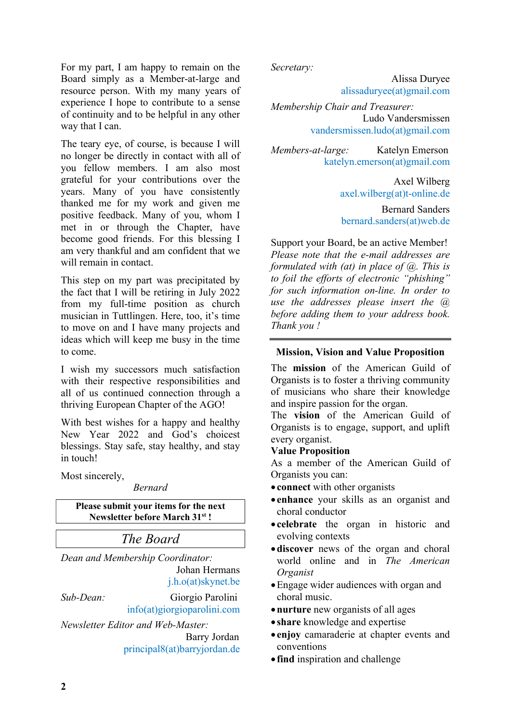For my part, I am happy to remain on the Board simply as a Member-at-large and resource person. With my many years of experience I hope to contribute to a sense of continuity and to be helpful in any other way that I can.

The teary eye, of course, is because I will no longer be directly in contact with all of you fellow members. I am also most grateful for your contributions over the years. Many of you have consistently thanked me for my work and given me positive feedback. Many of you, whom I met in or through the Chapter, have become good friends. For this blessing I am very thankful and am confident that we will remain in contact.

This step on my part was precipitated by the fact that I will be retiring in July 2022 from my full-time position as church musician in Tuttlingen. Here, too, it's time to move on and I have many projects and ideas which will keep me busy in the time to come.

I wish my successors much satisfaction with their respective responsibilities and all of us continued connection through a thriving European Chapter of the AGO!

With best wishes for a happy and healthy New Year 2022 and God's choicest blessings. Stay safe, stay healthy, and stay in touch!

Most sincerely,

#### Bernard

Please submit your items for the next Newsletter before March 31<sup>st</sup>!

The Board

Dean and Membership Coordinator: Johan Hermans j.h.o(at)skynet.be

Sub-Dean: Giorgio Parolini

info(at)giorgioparolini.com Newsletter Editor and Web-Master:

 Barry Jordan principal8(at)barryjordan.de Secretary:

 Alissa Duryee alissaduryee(at)gmail.com

Membership Chair and Treasurer: Ludo Vandersmissen vandersmissen.ludo(at)gmail.com

Members-at-large: Katelyn Emerson katelyn.emerson(at)gmail.com

> Axel Wilberg axel.wilberg(at)t-online.de

> Bernard Sanders bernard.sanders(at)web.de

Support your Board, be an active Member! Please note that the e-mail addresses are formulated with (at) in place of  $(a)$ . This is to foil the efforts of electronic "phishing" for such information on-line. In order to use the addresses please insert the  $(a)$ before adding them to your address book. Thank you !

#### Mission, Vision and Value Proposition

The mission of the American Guild of Organists is to foster a thriving community of musicians who share their knowledge and inspire passion for the organ.

The vision of the American Guild of Organists is to engage, support, and uplift every organist.

### Value Proposition

As a member of the American Guild of Organists you can:

- connect with other organists
- enhance your skills as an organist and choral conductor
- celebrate the organ in historic and evolving contexts
- discover news of the organ and choral world online and in The American Organist
- Engage wider audiences with organ and choral music.
- nurture new organists of all ages
- share knowledge and expertise
- enjoy camaraderie at chapter events and conventions
- find inspiration and challenge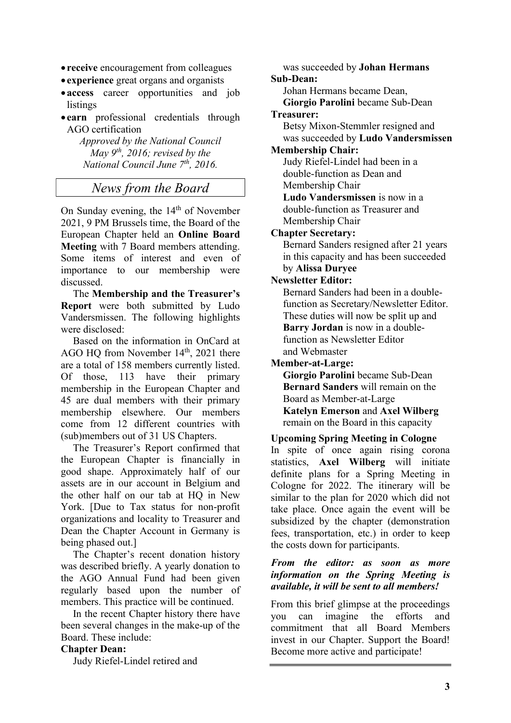- receive encouragement from colleagues
- experience great organs and organists
- access career opportunities and job listings
- earn professional credentials through AGO certification

Approved by the National Council May  $9^{th}$ , 2016; revised by the National Council June  $7<sup>th</sup>$ , 2016.

## News from the Board

On Sunday evening, the  $14<sup>th</sup>$  of November 2021, 9 PM Brussels time, the Board of the European Chapter held an Online Board Meeting with 7 Board members attending. Some items of interest and even of importance to our membership were discussed.

The Membership and the Treasurer's Report were both submitted by Ludo Vandersmissen. The following highlights were disclosed:

Based on the information in OnCard at AGO HQ from November 14<sup>th</sup>, 2021 there are a total of 158 members currently listed. Of those, 113 have their primary membership in the European Chapter and 45 are dual members with their primary membership elsewhere. Our members come from 12 different countries with (sub)members out of 31 US Chapters.

The Treasurer's Report confirmed that the European Chapter is financially in good shape. Approximately half of our assets are in our account in Belgium and the other half on our tab at HO in New York. [Due to Tax status for non-profit organizations and locality to Treasurer and Dean the Chapter Account in Germany is being phased out.]

The Chapter's recent donation history was described briefly. A yearly donation to the AGO Annual Fund had been given regularly based upon the number of members. This practice will be continued.

In the recent Chapter history there have been several changes in the make-up of the Board. These include:

#### Chapter Dean:

Judy Riefel-Lindel retired and

was succeeded by Johan Hermans Sub-Dean: Johan Hermans became Dean, Giorgio Parolini became Sub-Dean Treasurer: Betsy Mixon-Stemmler resigned and was succeeded by Ludo Vandersmissen Membership Chair: Judy Riefel-Lindel had been in a double-function as Dean and Membership Chair Ludo Vandersmissen is now in a double-function as Treasurer and Membership Chair Chapter Secretary: Bernard Sanders resigned after 21 years in this capacity and has been succeeded by Alissa Duryee Newsletter Editor: Bernard Sanders had been in a doublefunction as Secretary/Newsletter Editor. These duties will now be split up and Barry Jordan is now in a doublefunction as Newsletter Editor and Webmaster Member-at-Large: Giorgio Parolini became Sub-Dean

Bernard Sanders will remain on the Board as Member-at-Large Katelyn Emerson and Axel Wilberg remain on the Board in this capacity

#### Upcoming Spring Meeting in Cologne

In spite of once again rising corona statistics, Axel Wilberg will initiate definite plans for a Spring Meeting in Cologne for 2022. The itinerary will be similar to the plan for 2020 which did not take place. Once again the event will be subsidized by the chapter (demonstration fees, transportation, etc.) in order to keep the costs down for participants.

#### From the editor: as soon as more information on the Spring Meeting is available, it will be sent to all members!

From this brief glimpse at the proceedings you can imagine the efforts and commitment that all Board Members invest in our Chapter. Support the Board! Become more active and participate!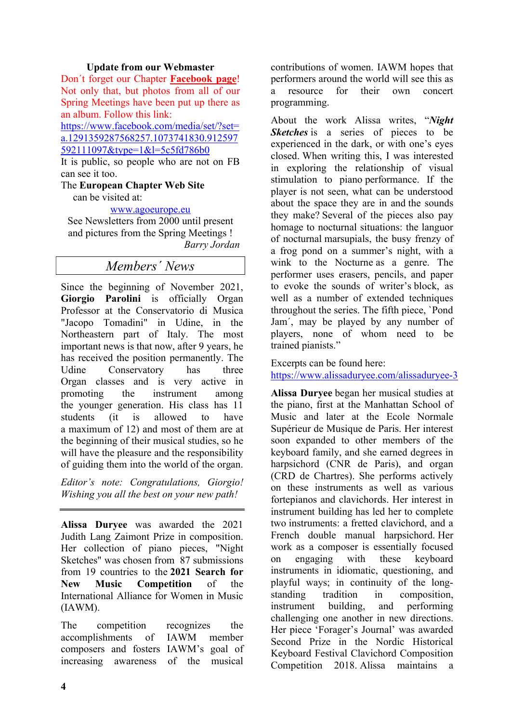#### Update from our Webmaster

Don´t forget our Chapter Facebook page! Not only that, but photos from all of our Spring Meetings have been put up there as an album. Follow this link:

https://www.facebook.com/media/set/?set= a.1291359287568257.1073741830.912597 592111097&type=1&l=5c5fd786b0

It is public, so people who are not on FB can see it too.

The European Chapter Web Site

can be visited at:

#### www.agoeurope.eu

See Newsletters from 2000 until present and pictures from the Spring Meetings ! Barry Jordan

### Members´ News

Since the beginning of November 2021, Giorgio Parolini is officially Organ Professor at the Conservatorio di Musica "Jacopo Tomadini" in Udine, in the Northeastern part of Italy. The most important news is that now, after 9 years, he has received the position permanently. The Udine Conservatory has three Organ classes and is very active in promoting the instrument among the younger generation. His class has 11 students (it is allowed to have a maximum of 12) and most of them are at the beginning of their musical studies, so he will have the pleasure and the responsibility of guiding them into the world of the organ.

Editor's note: Congratulations, Giorgio! Wishing you all the best on your new path!

Alissa Duryee was awarded the 2021 Judith Lang Zaimont Prize in composition. Her collection of piano pieces, "Night Sketches" was chosen from 87 submissions from 19 countries to the 2021 Search for New Music Competition of the International Alliance for Women in Music (IAWM).

The competition recognizes the accomplishments of IAWM member composers and fosters IAWM's goal of increasing awareness of the musical

contributions of women. IAWM hopes that performers around the world will see this as a resource for their own concert programming.

About the work Alissa writes, "Night Sketches is a series of pieces to be experienced in the dark, or with one's eyes closed. When writing this, I was interested in exploring the relationship of visual stimulation to piano performance. If the player is not seen, what can be understood about the space they are in and the sounds they make? Several of the pieces also pay homage to nocturnal situations: the languor of nocturnal marsupials, the busy frenzy of a frog pond on a summer's night, with a wink to the Nocturne as a genre. The performer uses erasers, pencils, and paper to evoke the sounds of writer's block, as well as a number of extended techniques throughout the series. The fifth piece, `Pond Jam´, may be played by any number of players, none of whom need to be trained pianists."

Excerpts can be found here: https://www.alissaduryee.com/alissaduryee-3

Alissa Duryee began her musical studies at the piano, first at the Manhattan School of Music and later at the Ecole Normale Supérieur de Musique de Paris. Her interest soon expanded to other members of the keyboard family, and she earned degrees in harpsichord (CNR de Paris), and organ (CRD de Chartres). She performs actively on these instruments as well as various fortepianos and clavichords. Her interest in instrument building has led her to complete two instruments: a fretted clavichord, and a French double manual harpsichord. Her work as a composer is essentially focused on engaging with these keyboard instruments in idiomatic, questioning, and playful ways; in continuity of the longstanding tradition in composition, instrument building, and performing challenging one another in new directions. Her piece 'Forager's Journal' was awarded Second Prize in the Nordic Historical Keyboard Festival Clavichord Composition Competition 2018. Alissa maintains a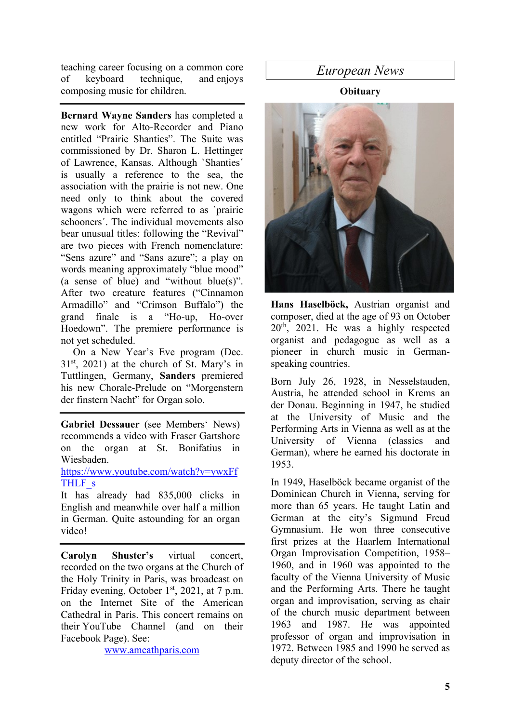teaching career focusing on a common core of keyboard technique, and enjoys composing music for children.

Bernard Wayne Sanders has completed a new work for Alto-Recorder and Piano entitled "Prairie Shanties". The Suite was commissioned by Dr. Sharon L. Hettinger of Lawrence, Kansas. Although `Shanties´ is usually a reference to the sea, the association with the prairie is not new. One need only to think about the covered wagons which were referred to as `prairie schooners´. The individual movements also bear unusual titles: following the "Revival" are two pieces with French nomenclature: "Sens azure" and "Sans azure"; a play on words meaning approximately "blue mood" (a sense of blue) and "without blue(s)". After two creature features ("Cinnamon Armadillo" and "Crimson Buffalo") the grand finale is a "Ho-up, Ho-over Hoedown". The premiere performance is not yet scheduled.

On a New Year's Eve program (Dec.  $31<sup>st</sup>$ , 2021) at the church of St. Mary's in Tuttlingen, Germany, Sanders premiered his new Chorale-Prelude on "Morgenstern der finstern Nacht" for Organ solo.

Gabriel Dessauer (see Members' News) recommends a video with Fraser Gartshore on the organ at St. Bonifatius in Wiesbaden.

#### https://www.youtube.com/watch?v=ywxFf THLF<sub>s</sub>

It has already had 835,000 clicks in English and meanwhile over half a million in German. Quite astounding for an organ video!

Carolyn Shuster's virtual concert, recorded on the two organs at the Church of the Holy Trinity in Paris, was broadcast on Friday evening, October  $1<sup>st</sup>$ , 2021, at 7 p.m. on the Internet Site of the American Cathedral in Paris. This concert remains on their YouTube Channel (and on their Facebook Page). See:

www.amcathparis.com

## European News

### **Obituary**



Hans Haselböck, Austrian organist and composer, died at the age of 93 on October 20th, 2021. He was a highly respected organist and pedagogue as well as a pioneer in church music in Germanspeaking countries.

Born July 26, 1928, in Nesselstauden, Austria, he attended school in Krems an der Donau. Beginning in 1947, he studied at the University of Music and the Performing Arts in Vienna as well as at the University of Vienna (classics and German), where he earned his doctorate in 1953.

In 1949, Haselböck became organist of the Dominican Church in Vienna, serving for more than 65 years. He taught Latin and German at the city's Sigmund Freud Gymnasium. He won three consecutive first prizes at the Haarlem International Organ Improvisation Competition, 1958– 1960, and in 1960 was appointed to the faculty of the Vienna University of Music and the Performing Arts. There he taught organ and improvisation, serving as chair of the church music department between 1963 and 1987. He was appointed professor of organ and improvisation in 1972. Between 1985 and 1990 he served as deputy director of the school.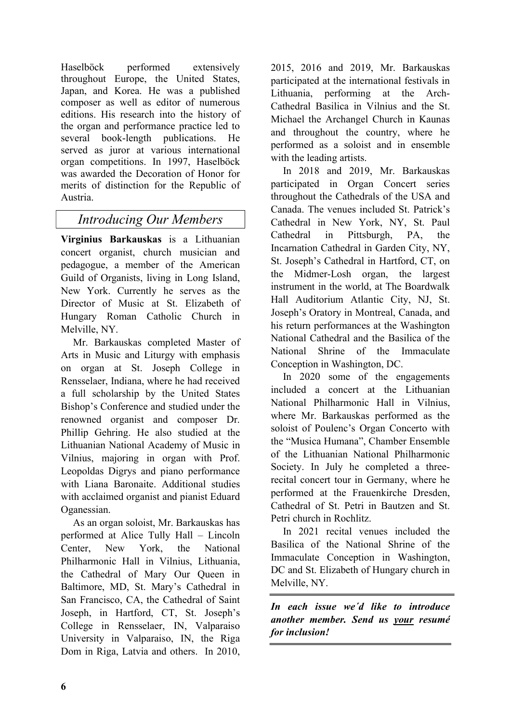Haselböck performed extensively throughout Europe, the United States, Japan, and Korea. He was a published composer as well as editor of numerous editions. His research into the history of the organ and performance practice led to several book-length publications. He served as juror at various international organ competitions. In 1997, Haselböck was awarded the Decoration of Honor for merits of distinction for the Republic of Austria.

## Introducing Our Members

Virginius Barkauskas is a Lithuanian concert organist, church musician and pedagogue, a member of the American Guild of Organists, living in Long Island, New York. Currently he serves as the Director of Music at St. Elizabeth of Hungary Roman Catholic Church in Melville, NY.

Mr. Barkauskas completed Master of Arts in Music and Liturgy with emphasis on organ at St. Joseph College in Rensselaer, Indiana, where he had received a full scholarship by the United States Bishop's Conference and studied under the renowned organist and composer Dr. Phillip Gehring. He also studied at the Lithuanian National Academy of Music in Vilnius, majoring in organ with Prof. Leopoldas Digrys and piano performance with Liana Baronaite. Additional studies with acclaimed organist and pianist Eduard Oganessian.

As an organ soloist, Mr. Barkauskas has performed at Alice Tully Hall – Lincoln Center, New York, the National Philharmonic Hall in Vilnius, Lithuania, the Cathedral of Mary Our Queen in Baltimore, MD, St. Mary's Cathedral in San Francisco, CA, the Cathedral of Saint Joseph, in Hartford, CT, St. Joseph's College in Rensselaer, IN, Valparaiso University in Valparaiso, IN, the Riga Dom in Riga, Latvia and others. In 2010,

2015, 2016 and 2019, Mr. Barkauskas participated at the international festivals in Lithuania, performing at the Arch-Cathedral Basilica in Vilnius and the St. Michael the Archangel Church in Kaunas and throughout the country, where he performed as a soloist and in ensemble with the leading artists.

In 2018 and 2019, Mr. Barkauskas participated in Organ Concert series throughout the Cathedrals of the USA and Canada. The venues included St. Patrick's Cathedral in New York, NY, St. Paul Cathedral in Pittsburgh, PA, the Incarnation Cathedral in Garden City, NY, St. Joseph's Cathedral in Hartford, CT, on the Midmer-Losh organ, the largest instrument in the world, at The Boardwalk Hall Auditorium Atlantic City, NJ, St. Joseph's Oratory in Montreal, Canada, and his return performances at the Washington National Cathedral and the Basilica of the National Shrine of the Immaculate Conception in Washington, DC.

In 2020 some of the engagements included a concert at the Lithuanian National Philharmonic Hall in Vilnius, where Mr. Barkauskas performed as the soloist of Poulenc's Organ Concerto with the "Musica Humana", Chamber Ensemble of the Lithuanian National Philharmonic Society. In July he completed a threerecital concert tour in Germany, where he performed at the Frauenkirche Dresden, Cathedral of St. Petri in Bautzen and St. Petri church in Rochlitz.

In 2021 recital venues included the Basilica of the National Shrine of the Immaculate Conception in Washington, DC and St. Elizabeth of Hungary church in Melville, NY.

In each issue we´d like to introduce another member. Send us your resumé for inclusion!